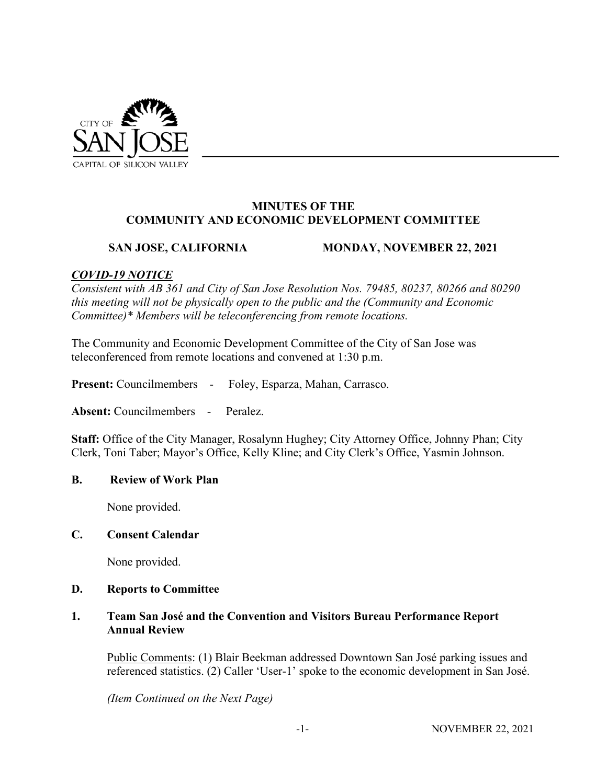

#### **MINUTES OF THE COMMUNITY AND ECONOMIC DEVELOPMENT COMMITTEE**

# **SAN JOSE, CALIFORNIA MONDAY, NOVEMBER 22, 2021**

# *COVID-19 NOTICE*

*Consistent with AB 361 and City of San Jose Resolution Nos. 79485, 80237, 80266 and 80290 this meeting will not be physically open to the public and the (Community and Economic Committee)\* Members will be teleconferencing from remote locations.* 

The Community and Economic Development Committee of the City of San Jose was teleconferenced from remote locations and convened at 1:30 p.m.

**Present:** Councilmembers - Foley, Esparza, Mahan, Carrasco.

**Absent:** Councilmembers - Peralez.

**Staff:** Office of the City Manager, Rosalynn Hughey; City Attorney Office, Johnny Phan; City Clerk, Toni Taber; Mayor's Office, Kelly Kline; and City Clerk's Office, Yasmin Johnson.

#### **B. Review of Work Plan**

None provided.

#### **C. Consent Calendar**

None provided.

### **D. Reports to Committee**

## **1. Team San José and the Convention and Visitors Bureau Performance Report Annual Review**

Public Comments: (1) Blair Beekman addressed Downtown San José parking issues and referenced statistics. (2) Caller 'User-1' spoke to the economic development in San José.

*(Item Continued on the Next Page)*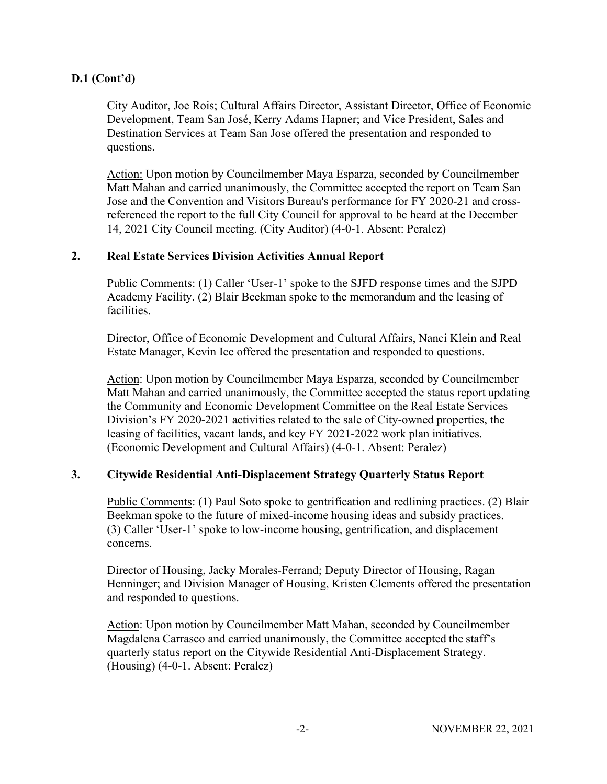# **D.1 (Cont'd)**

City Auditor, Joe Rois; Cultural Affairs Director, Assistant Director, Office of Economic Development, Team San José, Kerry Adams Hapner; and Vice President, Sales and Destination Services at Team San Jose offered the presentation and responded to questions.

Action: Upon motion by Councilmember Maya Esparza, seconded by Councilmember Matt Mahan and carried unanimously, the Committee accepted the report on Team San Jose and the Convention and Visitors Bureau's performance for FY 2020-21 and crossreferenced the report to the full City Council for approval to be heard at the December 14, 2021 City Council meeting. (City Auditor) (4-0-1. Absent: Peralez)

## **2. Real Estate Services Division Activities Annual Report**

Public Comments: (1) Caller 'User-1' spoke to the SJFD response times and the SJPD Academy Facility. (2) Blair Beekman spoke to the memorandum and the leasing of facilities.

Director, Office of Economic Development and Cultural Affairs, Nanci Klein and Real Estate Manager, Kevin Ice offered the presentation and responded to questions.

Action: Upon motion by Councilmember Maya Esparza, seconded by Councilmember Matt Mahan and carried unanimously, the Committee accepted the status report updating the Community and Economic Development Committee on the Real Estate Services Division's FY 2020-2021 activities related to the sale of City-owned properties, the leasing of facilities, vacant lands, and key FY 2021-2022 work plan initiatives. (Economic Development and Cultural Affairs) (4-0-1. Absent: Peralez)

# **3. Citywide Residential Anti-Displacement Strategy Quarterly Status Report**

Public Comments: (1) Paul Soto spoke to gentrification and redlining practices. (2) Blair Beekman spoke to the future of mixed-income housing ideas and subsidy practices. (3) Caller 'User-1' spoke to low-income housing, gentrification, and displacement concerns.

Director of Housing, Jacky Morales-Ferrand; Deputy Director of Housing, Ragan Henninger; and Division Manager of Housing, Kristen Clements offered the presentation and responded to questions.

Action: Upon motion by Councilmember Matt Mahan, seconded by Councilmember Magdalena Carrasco and carried unanimously, the Committee accepted the staff's quarterly status report on the Citywide Residential Anti-Displacement Strategy. (Housing) (4-0-1. Absent: Peralez)